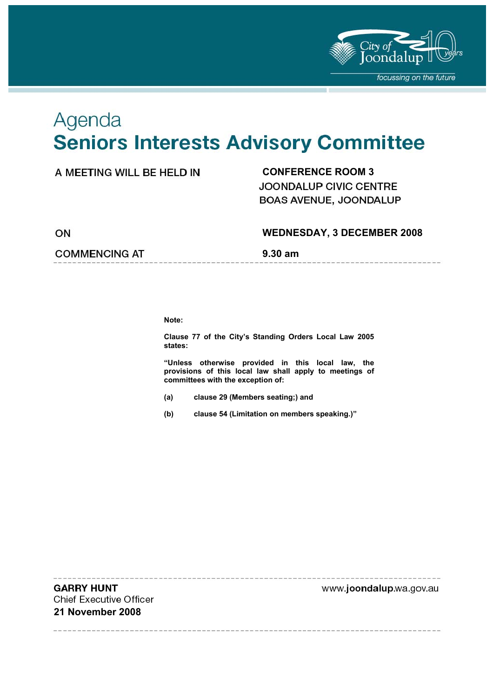

# Agenda **Seniors Interests Advisory Committee**

### **CONFERENCE ROOM 3**

JOONDALUP CIVIC CENTRE BOAS AVENUE, JOONDALUP

ON

#### **WEDNESDAY, 3 DECEMBER 2008**

**COMMENCING AT 5.30 am** 

**Note:** 

**Clause 77 of the City's Standing Orders Local Law 2005 states:** 

**"Unless otherwise provided in this local law, the provisions of this local law shall apply to meetings of committees with the exception of:** 

- **(a) clause 29 (Members seating;) and**
- **(b) clause 54 (Limitation on members speaking.)"**

**GARRY HUNT Chief Executive Officer 21 November 2008** 

www.joondalup.wa.gov.au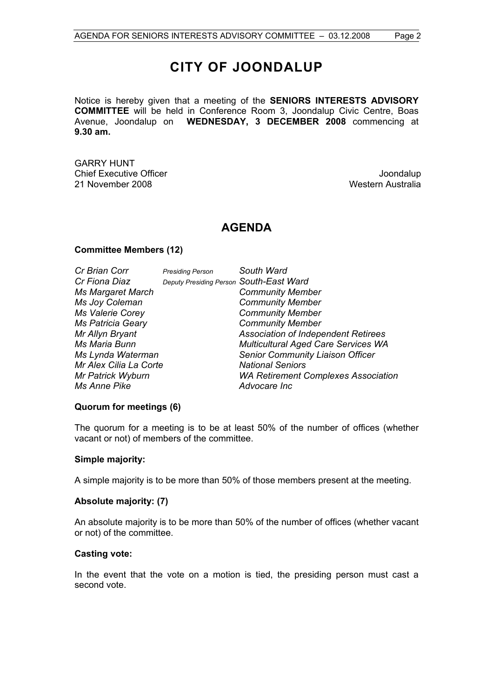# **CITY OF JOONDALUP**

Notice is hereby given that a meeting of the **SENIORS INTERESTS ADVISORY COMMITTEE** will be held in Conference Room 3, Joondalup Civic Centre, Boas Avenue, Joondalup on **WEDNESDAY, 3 DECEMBER 2008** commencing at **9.30 am.**

GARRY HUNT Chief Executive Officer **Joondalup** 21 November 2008 Western Australia

### **AGENDA**

#### **Committee Members (12)**

| Cr Brian Corr            | <b>Presiding Person</b>                 | South Ward                                 |
|--------------------------|-----------------------------------------|--------------------------------------------|
| Cr Fiona Diaz            | Deputy Presiding Person South-East Ward |                                            |
| <b>Ms Margaret March</b> |                                         | <b>Community Member</b>                    |
| Ms Joy Coleman           |                                         | <b>Community Member</b>                    |
| Ms Valerie Corey         |                                         | <b>Community Member</b>                    |
| <b>Ms Patricia Geary</b> |                                         | <b>Community Member</b>                    |
| Mr Allyn Bryant          |                                         | <b>Association of Independent Retirees</b> |
| Ms Maria Bunn            |                                         | <b>Multicultural Aged Care Services WA</b> |
| Ms Lynda Waterman        |                                         | <b>Senior Community Liaison Officer</b>    |
| Mr Alex Cilia La Corte   |                                         | <b>National Seniors</b>                    |
| Mr Patrick Wyburn        |                                         | <b>WA Retirement Complexes Association</b> |
| Ms Anne Pike             |                                         | Advocare Inc                               |

#### **Quorum for meetings (6)**

The quorum for a meeting is to be at least 50% of the number of offices (whether vacant or not) of members of the committee.

#### **Simple majority:**

A simple majority is to be more than 50% of those members present at the meeting.

#### **Absolute majority: (7)**

An absolute majority is to be more than 50% of the number of offices (whether vacant or not) of the committee.

#### **Casting vote:**

In the event that the vote on a motion is tied, the presiding person must cast a second vote.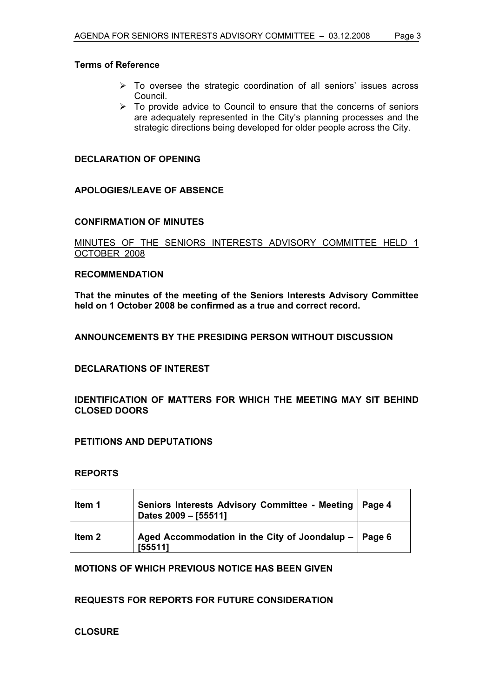#### **Terms of Reference**

- $\triangleright$  To oversee the strategic coordination of all seniors' issues across Council.
- $\triangleright$  To provide advice to Council to ensure that the concerns of seniors are adequately represented in the City's planning processes and the strategic directions being developed for older people across the City.

#### **DECLARATION OF OPENING**

#### **APOLOGIES/LEAVE OF ABSENCE**

#### **CONFIRMATION OF MINUTES**

#### MINUTES OF THE SENIORS INTERESTS ADVISORY COMMITTEE HELD 1 OCTOBER 2008

#### **RECOMMENDATION**

**That the minutes of the meeting of the Seniors Interests Advisory Committee held on 1 October 2008 be confirmed as a true and correct record.** 

#### **ANNOUNCEMENTS BY THE PRESIDING PERSON WITHOUT DISCUSSION**

#### **DECLARATIONS OF INTEREST**

#### **IDENTIFICATION OF MATTERS FOR WHICH THE MEETING MAY SIT BEHIND CLOSED DOORS**

#### **PETITIONS AND DEPUTATIONS**

#### **REPORTS**

| Item 1 | Seniors Interests Advisory Committee - Meeting   Page 4<br>Dates 2009 - [55511] |  |
|--------|---------------------------------------------------------------------------------|--|
| ltem 2 | Aged Accommodation in the City of Joondalup -   Page 6<br>[55511]               |  |

#### **MOTIONS OF WHICH PREVIOUS NOTICE HAS BEEN GIVEN**

#### **REQUESTS FOR REPORTS FOR FUTURE CONSIDERATION**

#### **CLOSURE**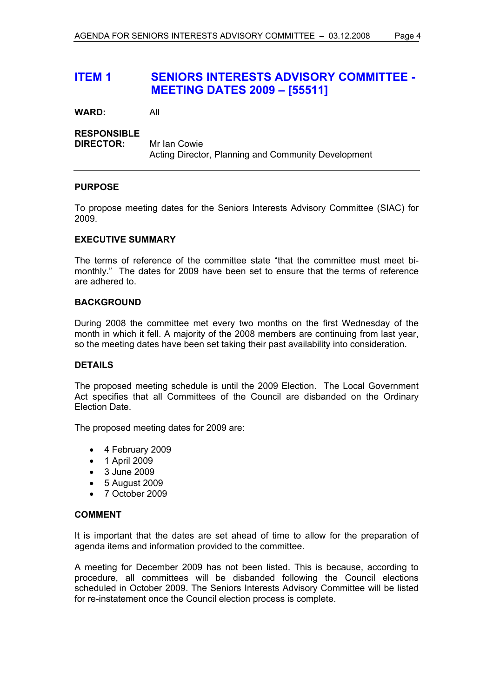# **ITEM 1 SENIORS INTERESTS ADVISORY COMMITTEE - MEETING DATES 2009 – [55511]**

**WARD:** All

#### **RESPONSIBLE**

**DIRECTOR:** Mr Ian Cowie Acting Director, Planning and Community Development

#### **PURPOSE**

To propose meeting dates for the Seniors Interests Advisory Committee (SIAC) for 2009.

#### **EXECUTIVE SUMMARY**

The terms of reference of the committee state "that the committee must meet bimonthly." The dates for 2009 have been set to ensure that the terms of reference are adhered to.

#### **BACKGROUND**

During 2008 the committee met every two months on the first Wednesday of the month in which it fell. A majority of the 2008 members are continuing from last year, so the meeting dates have been set taking their past availability into consideration.

#### **DETAILS**

The proposed meeting schedule is until the 2009 Election. The Local Government Act specifies that all Committees of the Council are disbanded on the Ordinary Election Date.

The proposed meeting dates for 2009 are:

- 4 February 2009
- 1 April 2009
- 3 June 2009
- 5 August 2009
- 7 October 2009

#### **COMMENT**

It is important that the dates are set ahead of time to allow for the preparation of agenda items and information provided to the committee.

A meeting for December 2009 has not been listed. This is because, according to procedure, all committees will be disbanded following the Council elections scheduled in October 2009. The Seniors Interests Advisory Committee will be listed for re-instatement once the Council election process is complete.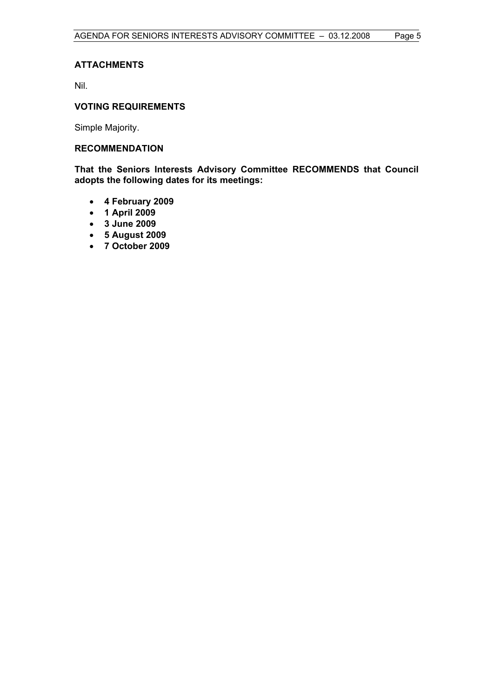#### **ATTACHMENTS**

Nil.

#### **VOTING REQUIREMENTS**

Simple Majority.

#### **RECOMMENDATION**

**That the Seniors Interests Advisory Committee RECOMMENDS that Council adopts the following dates for its meetings:** 

- **4 February 2009**
- **1 April 2009**
- **3 June 2009**
- **5 August 2009**
- **7 October 2009**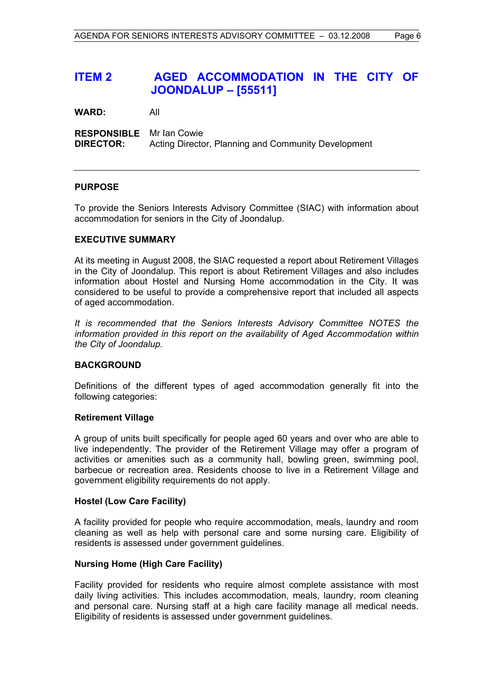# **ITEM 2 AGED ACCOMMODATION IN THE CITY OF JOONDALUP – [55511]**

**WARD:** All

**RESPONSIBLE** Mr Ian Cowie **DIRECTOR:** Acting Director, Planning and Community Development

#### **PURPOSE**

To provide the Seniors Interests Advisory Committee (SIAC) with information about accommodation for seniors in the City of Joondalup.

#### **EXECUTIVE SUMMARY**

At its meeting in August 2008, the SIAC requested a report about Retirement Villages in the City of Joondalup. This report is about Retirement Villages and also includes information about Hostel and Nursing Home accommodation in the City. It was considered to be useful to provide a comprehensive report that included all aspects of aged accommodation.

*It is recommended that the Seniors Interests Advisory Committee NOTES the information provided in this report on the availability of Aged Accommodation within the City of Joondalup.* 

#### **BACKGROUND**

Definitions of the different types of aged accommodation generally fit into the following categories:

#### **Retirement Village**

A group of units built specifically for people aged 60 years and over who are able to live independently. The provider of the Retirement Village may offer a program of activities or amenities such as a community hall, bowling green, swimming pool, barbecue or recreation area. Residents choose to live in a Retirement Village and government eligibility requirements do not apply.

#### **Hostel (Low Care Facility)**

A facility provided for people who require accommodation, meals, laundry and room cleaning as well as help with personal care and some nursing care. Eligibility of residents is assessed under government guidelines.

#### **Nursing Home (High Care Facility)**

Facility provided for residents who require almost complete assistance with most daily living activities. This includes accommodation, meals, laundry, room cleaning and personal care. Nursing staff at a high care facility manage all medical needs. Eligibility of residents is assessed under government guidelines.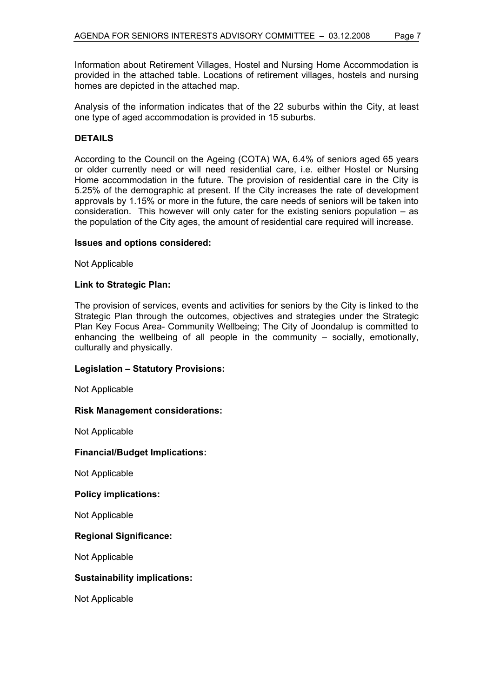Information about Retirement Villages, Hostel and Nursing Home Accommodation is provided in the attached table. Locations of retirement villages, hostels and nursing homes are depicted in the attached map.

Analysis of the information indicates that of the 22 suburbs within the City, at least one type of aged accommodation is provided in 15 suburbs.

#### **DETAILS**

According to the Council on the Ageing (COTA) WA, 6.4% of seniors aged 65 years or older currently need or will need residential care, i.e. either Hostel or Nursing Home accommodation in the future. The provision of residential care in the City is 5.25% of the demographic at present. If the City increases the rate of development approvals by 1.15% or more in the future, the care needs of seniors will be taken into consideration. This however will only cater for the existing seniors population – as the population of the City ages, the amount of residential care required will increase.

#### **Issues and options considered:**

Not Applicable

#### **Link to Strategic Plan:**

The provision of services, events and activities for seniors by the City is linked to the Strategic Plan through the outcomes, objectives and strategies under the Strategic Plan Key Focus Area- Community Wellbeing; The City of Joondalup is committed to enhancing the wellbeing of all people in the community  $-$  socially, emotionally, culturally and physically.

#### **Legislation – Statutory Provisions:**

Not Applicable

#### **Risk Management considerations:**

Not Applicable

#### **Financial/Budget Implications:**

Not Applicable

#### **Policy implications:**

Not Applicable

#### **Regional Significance:**

Not Applicable

#### **Sustainability implications:**

Not Applicable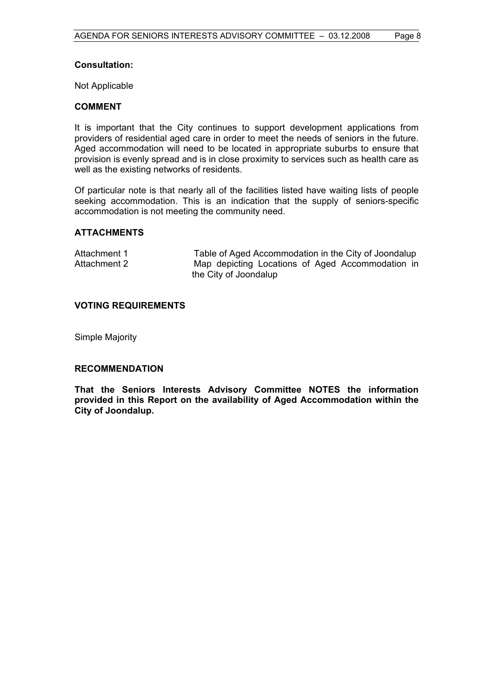#### **Consultation:**

Not Applicable

#### **COMMENT**

It is important that the City continues to support development applications from providers of residential aged care in order to meet the needs of seniors in the future. Aged accommodation will need to be located in appropriate suburbs to ensure that provision is evenly spread and is in close proximity to services such as health care as well as the existing networks of residents.

Of particular note is that nearly all of the facilities listed have waiting lists of people seeking accommodation. This is an indication that the supply of seniors-specific accommodation is not meeting the community need.

#### **ATTACHMENTS**

| Attachment 1 | Table of Aged Accommodation in the City of Joondalup |
|--------------|------------------------------------------------------|
| Attachment 2 | Map depicting Locations of Aged Accommodation in     |
|              | the City of Joondalup                                |

#### **VOTING REQUIREMENTS**

Simple Majority

#### **RECOMMENDATION**

**That the Seniors Interests Advisory Committee NOTES the information provided in this Report on the availability of Aged Accommodation within the City of Joondalup.**